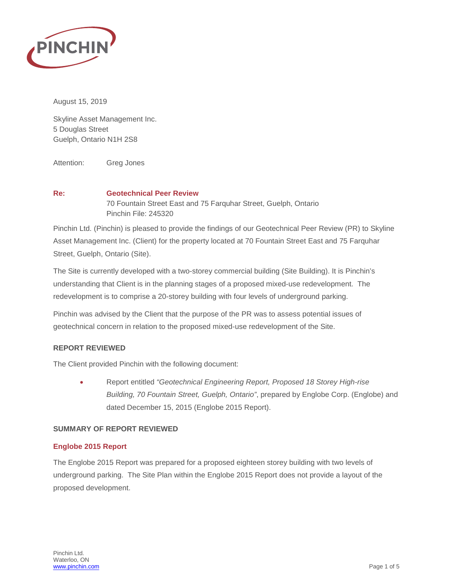

August 15, 2019

Skyline Asset Management Inc. 5 Douglas Street Guelph, Ontario N1H 2S8

Attention: Greg Jones

# **Re: Geotechnical Peer Review** 70 Fountain Street East and 75 Farquhar Street, Guelph, Ontario Pinchin File: 245320

Pinchin Ltd. (Pinchin) is pleased to provide the findings of our Geotechnical Peer Review (PR) to Skyline Asset Management Inc. (Client) for the property located at 70 Fountain Street East and 75 Farquhar Street, Guelph, Ontario (Site).

The Site is currently developed with a two-storey commercial building (Site Building). It is Pinchin's understanding that Client is in the planning stages of a proposed mixed-use redevelopment. The redevelopment is to comprise a 20-storey building with four levels of underground parking.

Pinchin was advised by the Client that the purpose of the PR was to assess potential issues of geotechnical concern in relation to the proposed mixed-use redevelopment of the Site.

# **REPORT REVIEWED**

The Client provided Pinchin with the following document:

• Report entitled *"Geotechnical Engineering Report, Proposed 18 Storey High-rise Building, 70 Fountain Street, Guelph, Ontario"*, prepared by Englobe Corp. (Englobe) and dated December 15, 2015 (Englobe 2015 Report).

# **SUMMARY OF REPORT REVIEWED**

# **Englobe 2015 Report**

The Englobe 2015 Report was prepared for a proposed eighteen storey building with two levels of underground parking. The Site Plan within the Englobe 2015 Report does not provide a layout of the proposed development.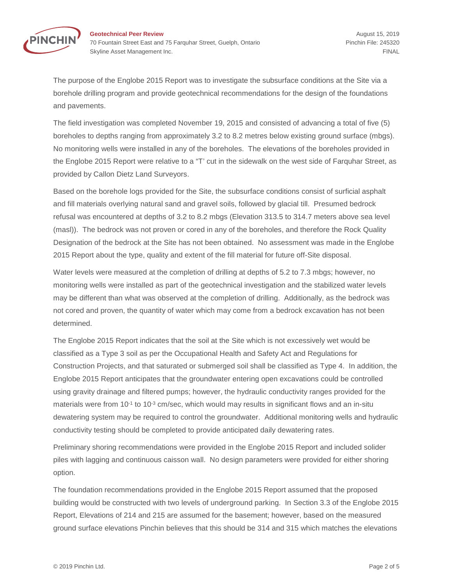

**Geotechnical Peer Review August 15, 2019** 70 Fountain Street East and 75 Farquhar Street, Guelph, Ontario Phinchin File: 245320 Skyline Asset Management Inc. **FINAL** Skyline Asset Management Inc.

The purpose of the Englobe 2015 Report was to investigate the subsurface conditions at the Site via a borehole drilling program and provide geotechnical recommendations for the design of the foundations and pavements.

The field investigation was completed November 19, 2015 and consisted of advancing a total of five (5) boreholes to depths ranging from approximately 3.2 to 8.2 metres below existing ground surface (mbgs). No monitoring wells were installed in any of the boreholes. The elevations of the boreholes provided in the Englobe 2015 Report were relative to a "T' cut in the sidewalk on the west side of Farquhar Street, as provided by Callon Dietz Land Surveyors.

Based on the borehole logs provided for the Site, the subsurface conditions consist of surficial asphalt and fill materials overlying natural sand and gravel soils, followed by glacial till. Presumed bedrock refusal was encountered at depths of 3.2 to 8.2 mbgs (Elevation 313.5 to 314.7 meters above sea level (masl)). The bedrock was not proven or cored in any of the boreholes, and therefore the Rock Quality Designation of the bedrock at the Site has not been obtained. No assessment was made in the Englobe 2015 Report about the type, quality and extent of the fill material for future off-Site disposal.

Water levels were measured at the completion of drilling at depths of 5.2 to 7.3 mbgs; however, no monitoring wells were installed as part of the geotechnical investigation and the stabilized water levels may be different than what was observed at the completion of drilling. Additionally, as the bedrock was not cored and proven, the quantity of water which may come from a bedrock excavation has not been determined.

The Englobe 2015 Report indicates that the soil at the Site which is not excessively wet would be classified as a Type 3 soil as per the Occupational Health and Safety Act and Regulations for Construction Projects, and that saturated or submerged soil shall be classified as Type 4. In addition, the Englobe 2015 Report anticipates that the groundwater entering open excavations could be controlled using gravity drainage and filtered pumps; however, the hydraulic conductivity ranges provided for the materials were from  $10^{-1}$  to  $10^{-3}$  cm/sec, which would may results in significant flows and an in-situ dewatering system may be required to control the groundwater. Additional monitoring wells and hydraulic conductivity testing should be completed to provide anticipated daily dewatering rates.

Preliminary shoring recommendations were provided in the Englobe 2015 Report and included solider piles with lagging and continuous caisson wall. No design parameters were provided for either shoring option.

The foundation recommendations provided in the Englobe 2015 Report assumed that the proposed building would be constructed with two levels of underground parking. In Section 3.3 of the Englobe 2015 Report, Elevations of 214 and 215 are assumed for the basement; however, based on the measured ground surface elevations Pinchin believes that this should be 314 and 315 which matches the elevations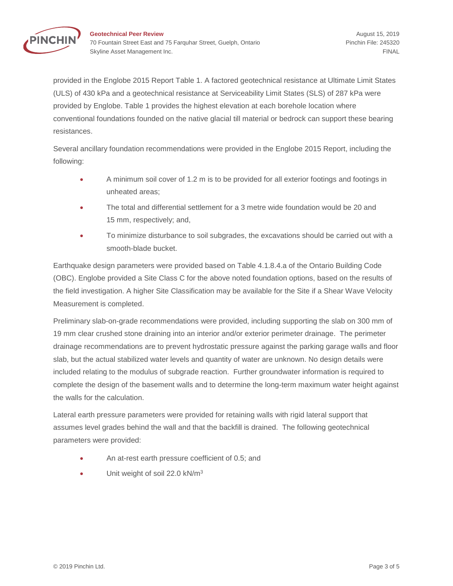

provided in the Englobe 2015 Report Table 1. A factored geotechnical resistance at Ultimate Limit States (ULS) of 430 kPa and a geotechnical resistance at Serviceability Limit States (SLS) of 287 kPa were provided by Englobe. Table 1 provides the highest elevation at each borehole location where conventional foundations founded on the native glacial till material or bedrock can support these bearing resistances.

Several ancillary foundation recommendations were provided in the Englobe 2015 Report, including the following:

- A minimum soil cover of 1.2 m is to be provided for all exterior footings and footings in unheated areas;
- The total and differential settlement for a 3 metre wide foundation would be 20 and 15 mm, respectively; and,
- To minimize disturbance to soil subgrades, the excavations should be carried out with a smooth-blade bucket.

Earthquake design parameters were provided based on Table 4.1.8.4.a of the Ontario Building Code (OBC). Englobe provided a Site Class C for the above noted foundation options, based on the results of the field investigation. A higher Site Classification may be available for the Site if a Shear Wave Velocity Measurement is completed.

Preliminary slab-on-grade recommendations were provided, including supporting the slab on 300 mm of 19 mm clear crushed stone draining into an interior and/or exterior perimeter drainage. The perimeter drainage recommendations are to prevent hydrostatic pressure against the parking garage walls and floor slab, but the actual stabilized water levels and quantity of water are unknown. No design details were included relating to the modulus of subgrade reaction. Further groundwater information is required to complete the design of the basement walls and to determine the long-term maximum water height against the walls for the calculation.

Lateral earth pressure parameters were provided for retaining walls with rigid lateral support that assumes level grades behind the wall and that the backfill is drained. The following geotechnical parameters were provided:

- An at-rest earth pressure coefficient of 0.5; and
- Unit weight of soil 22.0 kN/m<sup>3</sup>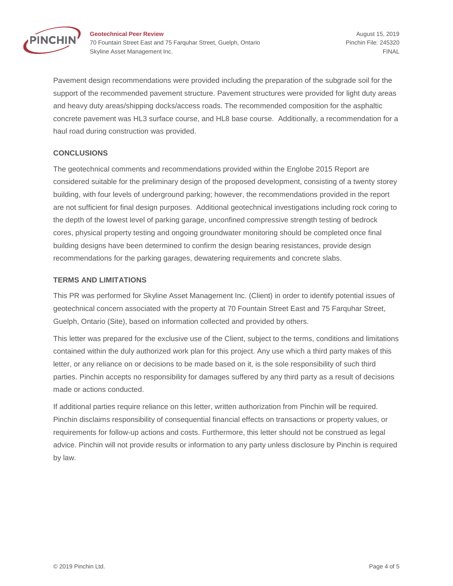

**Geotechnical Peer Review August 15, 2019** 70 Fountain Street East and 75 Farquhar Street, Guelph, Ontario Phinchin File: 245320 Skyline Asset Management Inc. **FINAL** 

Pavement design recommendations were provided including the preparation of the subgrade soil for the support of the recommended pavement structure. Pavement structures were provided for light duty areas and heavy duty areas/shipping docks/access roads. The recommended composition for the asphaltic concrete pavement was HL3 surface course, and HL8 base course. Additionally, a recommendation for a haul road during construction was provided.

# **CONCLUSIONS**

The geotechnical comments and recommendations provided within the Englobe 2015 Report are considered suitable for the preliminary design of the proposed development, consisting of a twenty storey building, with four levels of underground parking; however, the recommendations provided in the report are not sufficient for final design purposes. Additional geotechnical investigations including rock coring to the depth of the lowest level of parking garage, unconfined compressive strength testing of bedrock cores, physical property testing and ongoing groundwater monitoring should be completed once final building designs have been determined to confirm the design bearing resistances, provide design recommendations for the parking garages, dewatering requirements and concrete slabs.

#### **TERMS AND LIMITATIONS**

This PR was performed for Skyline Asset Management Inc. (Client) in order to identify potential issues of geotechnical concern associated with the property at 70 Fountain Street East and 75 Farquhar Street, Guelph, Ontario (Site), based on information collected and provided by others.

This letter was prepared for the exclusive use of the Client, subject to the terms, conditions and limitations contained within the duly authorized work plan for this project. Any use which a third party makes of this letter, or any reliance on or decisions to be made based on it, is the sole responsibility of such third parties. Pinchin accepts no responsibility for damages suffered by any third party as a result of decisions made or actions conducted.

If additional parties require reliance on this letter, written authorization from Pinchin will be required. Pinchin disclaims responsibility of consequential financial effects on transactions or property values, or requirements for follow-up actions and costs. Furthermore, this letter should not be construed as legal advice. Pinchin will not provide results or information to any party unless disclosure by Pinchin is required by law.